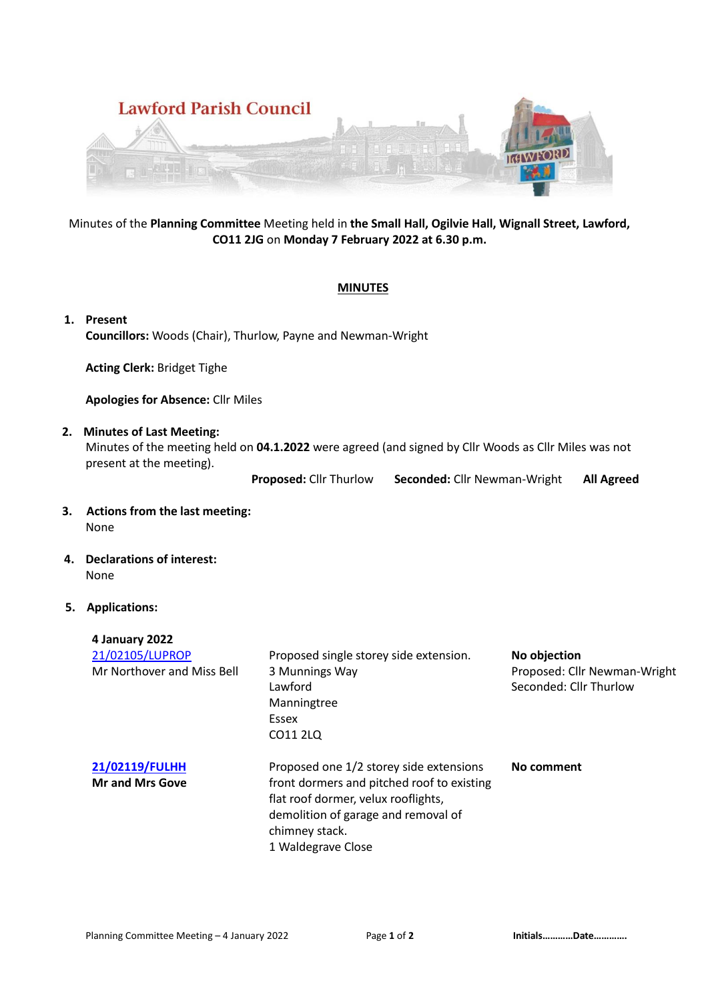

# Minutes of the **Planning Committee** Meeting held in **the Small Hall, Ogilvie Hall, Wignall Street, Lawford, CO11 2JG** on **Monday 7 February 2022 at 6.30 p.m.**

# **MINUTES**

**1. Present Councillors:** Woods (Chair), Thurlow, Payne and Newman-Wright

**Acting Clerk:** Bridget Tighe

**Apologies for Absence:** Cllr Miles

# **2. Minutes of Last Meeting:**

Minutes of the meeting held on **04.1.2022** were agreed (and signed by Cllr Woods as Cllr Miles was not present at the meeting).

**Proposed:** Cllr Thurlow **Seconded:** Cllr Newman-Wright **All Agreed**

## **3. Actions from the last meeting:** None

# **4. Declarations of interest:** None

**4 January 2022**

## **5. Applications:**

| 4 January 2022                           |                                                                                                                                                                                                             |                                                        |
|------------------------------------------|-------------------------------------------------------------------------------------------------------------------------------------------------------------------------------------------------------------|--------------------------------------------------------|
| 21/02105/LUPROP                          | Proposed single storey side extension.                                                                                                                                                                      | No objection                                           |
| Mr Northover and Miss Bell               | 3 Munnings Way<br>Lawford<br>Manningtree<br>Essex<br>CO11 2LO                                                                                                                                               | Proposed: Cllr Newman-Wright<br>Seconded: Cllr Thurlow |
| 21/02119/FULHH<br><b>Mr and Mrs Gove</b> | Proposed one 1/2 storey side extensions<br>front dormers and pitched roof to existing<br>flat roof dormer, velux rooflights,<br>demolition of garage and removal of<br>chimney stack.<br>1 Waldegrave Close | No comment                                             |